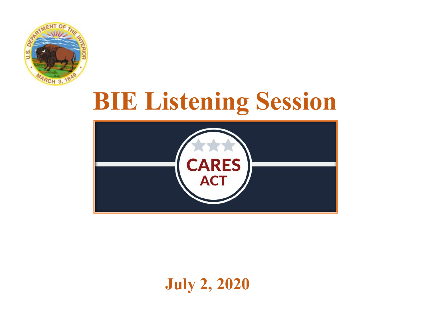

# **BIE Listening Session**



#### **July 2, 2020**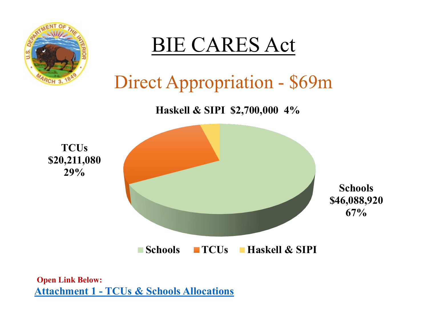

**Attachment 1 - TCUs & Schools Allocations Open Link Below:**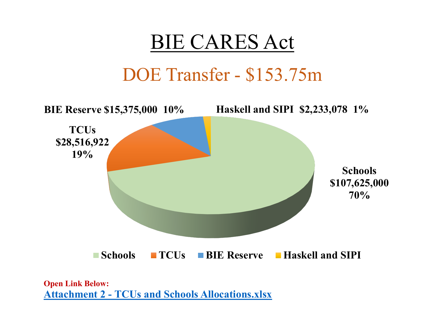

### DOE Transfer - \$153.75m



**Attachment 2 - TCUs and Schools Allocations.xlsx Open Link Below:**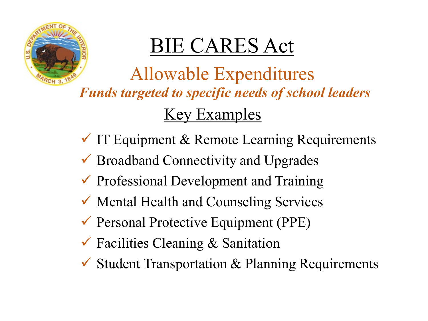

# BIE CARES Act

Allowable Expenditures Key Examples *Funds targeted to specific needs of school leaders*

- $\checkmark$  IT Equipment & Remote Learning Requirements
- $\checkmark$  Broadband Connectivity and Upgrades
- $\checkmark$  Professional Development and Training
- Mental Health and Counseling Services
- $\checkmark$  Personal Protective Equipment (PPE)
- $\checkmark$  Facilities Cleaning & Sanitation
- $\checkmark$  Student Transportation & Planning Requirements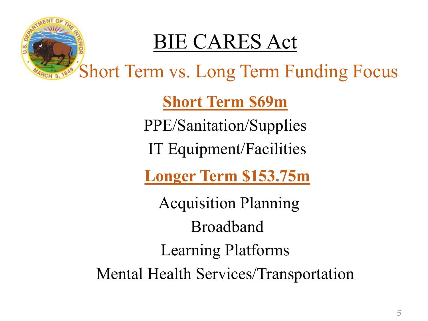

# BIE CARES Act

Short Term vs. Long Term Funding Focus

**Short Term \$69m**

PPE/Sanitation/Supplies

IT Equipment/Facilities

**Longer Term \$153.75m**

Acquisition Planning Broadband Learning Platforms Mental Health Services/Transportation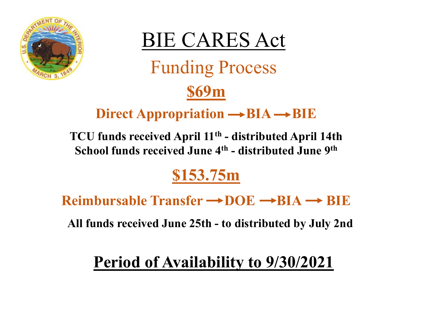



# Direct Appropriation  $\rightarrow BIA \rightarrow BIE$

**\$69m**

**TCU funds received April 11th - distributed April 14th School funds received June 4th - distributed June 9th**

#### **\$153.75m**

**Reimbursable Transfer → DOE → BIA → BIE** 

**All funds received June 25th - to distributed by July 2nd**

#### **Period of Availability to 9/30/2021**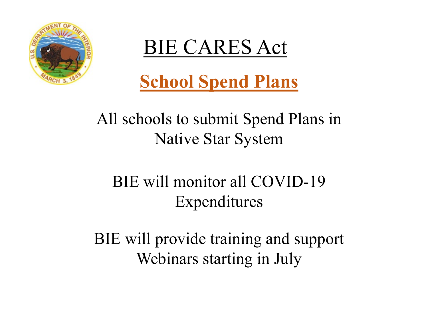

BIE CARES Act

**School Spend Plans** 

#### All schools to submit Spend Plans in Native Star System

### BIE will monitor all COVID-19 Expenditures

BIE will provide training and support Webinars starting in July